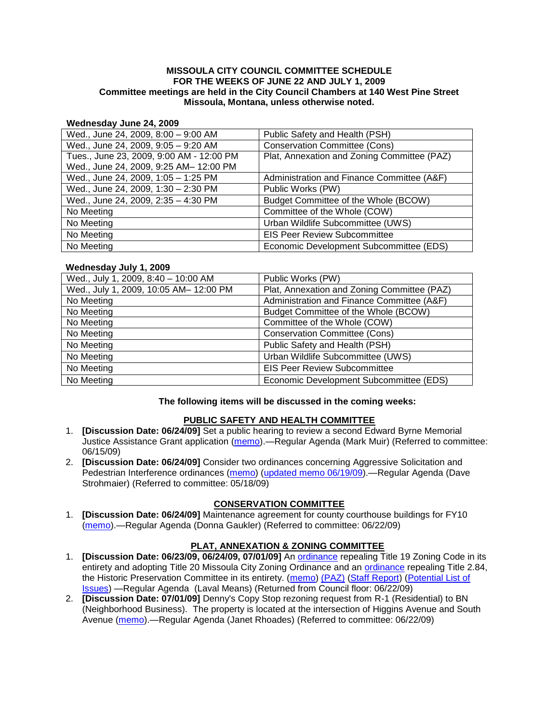### **MISSOULA CITY COUNCIL COMMITTEE SCHEDULE FOR THE WEEKS OF JUNE 22 AND JULY 1, 2009 Committee meetings are held in the City Council Chambers at 140 West Pine Street Missoula, Montana, unless otherwise noted.**

#### **Wednesday June 24, 2009**

| Wed., June 24, 2009, 8:00 - 9:00 AM      | Public Safety and Health (PSH)              |
|------------------------------------------|---------------------------------------------|
| Wed., June 24, 2009, 9:05 - 9:20 AM      | <b>Conservation Committee (Cons)</b>        |
| Tues., June 23, 2009, 9:00 AM - 12:00 PM | Plat, Annexation and Zoning Committee (PAZ) |
| Wed., June 24, 2009, 9:25 AM- 12:00 PM   |                                             |
| Wed., June 24, 2009, 1:05 - 1:25 PM      | Administration and Finance Committee (A&F)  |
| Wed., June 24, 2009, 1:30 - 2:30 PM      | Public Works (PW)                           |
| Wed., June 24, 2009, 2:35 - 4:30 PM      | Budget Committee of the Whole (BCOW)        |
| No Meeting                               | Committee of the Whole (COW)                |
| No Meeting                               | Urban Wildlife Subcommittee (UWS)           |
| No Meeting                               | <b>EIS Peer Review Subcommittee</b>         |
| No Meeting                               | Economic Development Subcommittee (EDS)     |

### **Wednesday July 1, 2009**

| Wed., July 1, 2009, 8:40 - 10:00 AM    | Public Works (PW)                           |
|----------------------------------------|---------------------------------------------|
| Wed., July 1, 2009, 10:05 AM- 12:00 PM | Plat, Annexation and Zoning Committee (PAZ) |
| No Meeting                             | Administration and Finance Committee (A&F)  |
| No Meeting                             | Budget Committee of the Whole (BCOW)        |
| No Meeting                             | Committee of the Whole (COW)                |
| No Meeting                             | <b>Conservation Committee (Cons)</b>        |
| No Meeting                             | Public Safety and Health (PSH)              |
| No Meeting                             | Urban Wildlife Subcommittee (UWS)           |
| No Meeting                             | <b>EIS Peer Review Subcommittee</b>         |
| No Meeting                             | Economic Development Subcommittee (EDS)     |

## **The following items will be discussed in the coming weeks:**

### **PUBLIC SAFETY AND HEALTH COMMITTEE**

- 1. **[Discussion Date: 06/24/09]** Set a public hearing to review a second Edward Byrne Memorial Justice Assistance Grant application [\(memo\)](http://www.ci.missoula.mt.us/DocumentView.aspx?DID=1575).—Regular Agenda (Mark Muir) (Referred to committee: 06/15/09)
- 2. **[Discussion Date: 06/24/09]** Consider two ordinances concerning Aggressive Solicitation and Pedestrian Interference ordinances [\(memo\)](ftp://ftp.ci.missoula.mt.us/Packets/Council/2009/2009-05-18/Referrals/PWGReferral.pdf) [\(updated memo 06/19/09\)](http://www.ci.missoula.mt.us/DocumentView.aspx?DID=1654).—Regular Agenda (Dave Strohmaier) (Referred to committee: 05/18/09)

## **CONSERVATION COMMITTEE**

1. **[Discussion Date: 06/24/09]** Maintenance agreement for county courthouse buildings for FY10 [\(memo\)](http://www.ci.missoula.mt.us/DocumentView.aspx?DID=1595).—Regular Agenda (Donna Gaukler) (Referred to committee: 06/22/09)

## **PLAT, ANNEXATION & ZONING COMMITTEE**

- 1. **[Discussion Date: 06/23/09, 06/24/09, 07/01/09]** An [ordinance](http://www.ci.missoula.mt.us/DocumentView.aspx?DID=1280) repealing Title 19 Zoning Code in its entirety and adopting Title 20 Missoula City Zoning Ordinance and an [ordinance](http://www.ci.missoula.mt.us/DocumentView.aspx?DID=1274) repealing Title 2.84, the Historic Preservation Committee in its entirety. [\(memo\)](http://www.ci.missoula.mt.us/DocumentView.aspx?DID=1620) [\(PAZ\)](http://www.ci.missoula.mt.us/Archive.aspx?ADID=559) [\(Staff Report\)](http://www.ci.missoula.mt.us/DocumentView.aspx?DID=1642) [\(Potential List of](http://www.ci.missoula.mt.us/DocumentView.aspx?DID=1707)  [Issues\)](http://www.ci.missoula.mt.us/DocumentView.aspx?DID=1707) —Regular Agenda (Laval Means) (Returned from Council floor: 06/22/09)
- 2. **[Discussion Date: 07/01/09]** Denny's Copy Stop rezoning request from R-1 (Residential) to BN (Neighborhood Business). The property is located at the intersection of Higgins Avenue and South Avenue [\(memo\)](http://www.ci.missoula.mt.us/DocumentView.aspx?DID=1641).—Regular Agenda (Janet Rhoades) (Referred to committee: 06/22/09)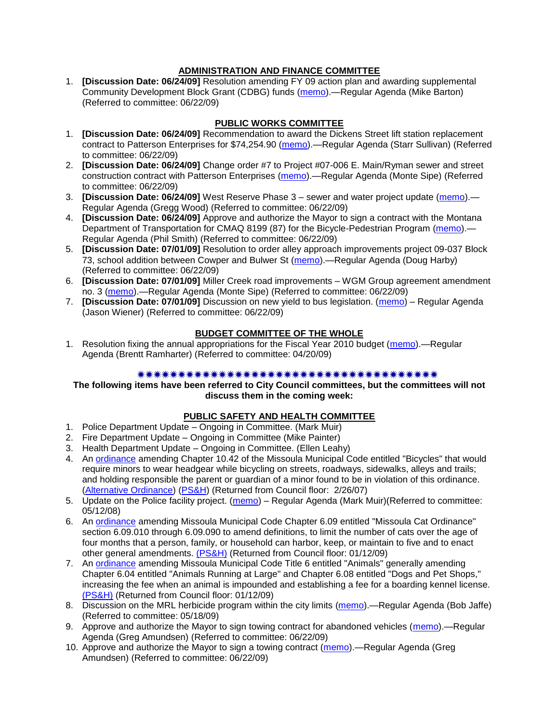# **ADMINISTRATION AND FINANCE COMMITTEE**

1. **[Discussion Date: 06/24/09]** Resolution amending FY 09 action plan and awarding supplemental Community Development Block Grant (CDBG) funds [\(memo\)](http://www.ci.missoula.mt.us/DocumentView.aspx?DID=1639).—Regular Agenda (Mike Barton) (Referred to committee: 06/22/09)

# **PUBLIC WORKS COMMITTEE**

- 1. **[Discussion Date: 06/24/09]** Recommendation to award the Dickens Street lift station replacement contract to Patterson Enterprises for \$74,254.90 [\(memo\)](http://www.ci.missoula.mt.us/DocumentView.aspx?DID=1644).—Regular Agenda (Starr Sullivan) (Referred to committee: 06/22/09)
- 2. **[Discussion Date: 06/24/09]** Change order #7 to Project #07-006 E. Main/Ryman sewer and street construction contract with Patterson Enterprises [\(memo\)](http://www.ci.missoula.mt.us/DocumentView.aspx?DID=1645).—Regular Agenda (Monte Sipe) (Referred to committee: 06/22/09)
- 3. **[Discussion Date: 06/24/09]** West Reserve Phase 3 sewer and water project update [\(memo\)](http://www.ci.missoula.mt.us/DocumentView.aspx?DID=1646).— Regular Agenda (Gregg Wood) (Referred to committee: 06/22/09)
- 4. **[Discussion Date: 06/24/09]** Approve and authorize the Mayor to sign a contract with the Montana Department of Transportation for CMAQ 8199 (87) for the Bicycle-Pedestrian Program [\(memo\)](http://www.ci.missoula.mt.us/DocumentView.aspx?DID=1655).— Regular Agenda (Phil Smith) (Referred to committee: 06/22/09)
- 5. **[Discussion Date: 07/01/09]** Resolution to order alley approach improvements project 09-037 Block 73, school addition between Cowper and Bulwer St [\(memo\)](http://www.ci.missoula.mt.us/DocumentView.aspx?DID=1647).—Regular Agenda (Doug Harby) (Referred to committee: 06/22/09)
- 6. **[Discussion Date: 07/01/09]** Miller Creek road improvements WGM Group agreement amendment no. 3 [\(memo\)](http://www.ci.missoula.mt.us/DocumentView.aspx?DID=1643).—Regular Agenda (Monte Sipe) (Referred to committee: 06/22/09)
- 7. **[Discussion Date: 07/01/09]** Discussion on new yield to bus legislation. [\(memo\)](http://www.ci.missoula.mt.us/DocumentView.aspx?DID=1664) Regular Agenda (Jason Wiener) (Referred to committee: 06/22/09)

# **BUDGET COMMITTEE OF THE WHOLE**

1. Resolution fixing the annual appropriations for the Fiscal Year 2010 budget [\(memo\)](ftp://ftp.ci.missoula.mt.us/Packets/Council/2009/2009-04-20/Referrals/FY2010BudgetAppropriations.pdf).—Regular Agenda (Brentt Ramharter) (Referred to committee: 04/20/09)

## 

### **The following items have been referred to City Council committees, but the committees will not discuss them in the coming week:**

# **PUBLIC SAFETY AND HEALTH COMMITTEE**

- 1. Police Department Update Ongoing in Committee. (Mark Muir)
- 2. Fire Department Update Ongoing in Committee (Mike Painter)
- 3. Health Department Update Ongoing in Committee. (Ellen Leahy)
- 4. An [ordinance](ftp://ftp.ci.missoula.mt.us/Packets/Council/2007/2007-02-05/07-01-31 Helmet and bikes psh.htm) amending Chapter 10.42 of the Missoula Municipal Code entitled "Bicycles" that would require minors to wear headgear while bicycling on streets, roadways, sidewalks, alleys and trails; and holding responsible the parent or guardian of a minor found to be in violation of this ordinance. [\(Alternative Ordinance\)](ftp://ftp.ci.missoula.mt.us/Packets/Council/2007/2007-02-26/07-02-19_Alternative_Helmet_and_bikes.htm) [\(PS&H\)](ftp://ftp.ci.missoula.mt.us/Packets/Council/2007/2007-02-05/070131psh.pdf) (Returned from Council floor: 2/26/07)
- 5. Update on the Police facility project. [\(memo\)](ftp://ftp.ci.missoula.mt.us/Packets/Council/2008/2008-05-12/Referrals/Buildingpresentationreferral.htm) Regular Agenda (Mark Muir)(Referred to committee: 05/12/08)
- 6. An [ordinance](ftp://ftp.ci.missoula.mt.us/Packets/Council/2008/2008-12-15/2008CatOrdinanceAmendment%5B1%5D.pdf) amending Missoula Municipal Code Chapter 6.09 entitled "Missoula Cat Ordinance" section 6.09.010 through 6.09.090 to amend definitions, to limit the number of cats over the age of four months that a person, family, or household can harbor, keep, or maintain to five and to enact other general amendments. [\(PS&H\)](ftp://ftp.ci.missoula.mt.us/Packets/Council/2008/2008-12-15/081210psh.pdf) (Returned from Council floor: 01/12/09)
- 7. An [ordinance](ftp://ftp.ci.missoula.mt.us/Packets/Council/2008/2008-12-15/DogOrdinance--PSHrevisions.pdf) amending Missoula Municipal Code Title 6 entitled "Animals" generally amending Chapter 6.04 entitled "Animals Running at Large" and Chapter 6.08 entitled "Dogs and Pet Shops," increasing the fee when an animal is impounded and establishing a fee for a boarding kennel license. [\(PS&H\)](ftp://ftp.ci.missoula.mt.us/Packets/Council/2008/2008-12-15/081210psh.pdf) (Returned from Council floor: 01/12/09)
- 8. Discussion on the MRL herbicide program within the city limits [\(memo\)](ftp://ftp.ci.missoula.mt.us/Packets/Council/2009/2009-05-18/Referrals/MRLWeedSprayingReferral.pdf).—Regular Agenda (Bob Jaffe) (Referred to committee: 05/18/09)
- 9. Approve and authorize the Mayor to sign towing contract for abandoned vehicles [\(memo\)](http://www.ci.missoula.mt.us/DocumentView.aspx?DID=1624).—Regular Agenda (Greg Amundsen) (Referred to committee: 06/22/09)
- 10. Approve and authorize the Mayor to sign a towing contract [\(memo\)](http://www.ci.missoula.mt.us/DocumentView.aspx?DID=1625).—Regular Agenda (Greg Amundsen) (Referred to committee: 06/22/09)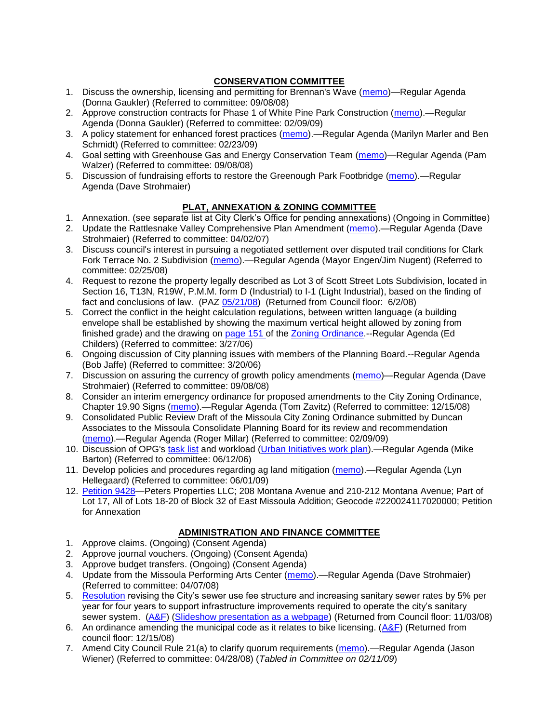# **CONSERVATION COMMITTEE**

- 1. Discuss the ownership, licensing and permitting for Brennan's Wave [\(memo\)](ftp://ftp.ci.missoula.mt.us/Packets/Council/2008/2008-09-08/Referrals/ReferralBrennansWaveLicensing.pdf)—Regular Agenda (Donna Gaukler) (Referred to committee: 09/08/08)
- 2. Approve construction contracts for Phase 1 of White Pine Park Construction [\(memo\)](ftp://ftp.ci.missoula.mt.us/Packets/Council/2009/2009-02-09/Referrals/ReferralWhitePinePark(2).pdf).—Regular Agenda (Donna Gaukler) (Referred to committee: 02/09/09)
- 3. A policy statement for enhanced forest practices [\(memo\)](ftp://ftp.ci.missoula.mt.us/Packets/Council/2009/2009-02-23/Referrals/Forest_Practices_Referral.pdf).—Regular Agenda (Marilyn Marler and Ben Schmidt) (Referred to committee: 02/23/09)
- 4. Goal setting with Greenhouse Gas and Energy Conservation Team [\(memo\)](ftp://ftp.ci.missoula.mt.us/Packets/Council/2008/2008-09-08/Referrals/GGECTdialog.pdf)—Regular Agenda (Pam Walzer) (Referred to committee: 09/08/08)
- 5. Discussion of fundraising efforts to restore the Greenough Park Footbridge [\(memo\)](http://www.ci.missoula.mt.us/DocumentView.aspx?DID=1657).—Regular Agenda (Dave Strohmaier)

# **PLAT, ANNEXATION & ZONING COMMITTEE**

- 1. Annexation. (see separate list at City Clerk's Office for pending annexations) (Ongoing in Committee)
- 2. Update the Rattlesnake Valley Comprehensive Plan Amendment [\(memo\)](ftp://ftp.ci.missoula.mt.us/Packets/Council/2007/2007-04-02/Referrals/Rattlesnake_Plan_Update_referral.pdf).—Regular Agenda (Dave Strohmaier) (Referred to committee: 04/02/07)
- 3. Discuss council's interest in pursuing a negotiated settlement over disputed trail conditions for Clark Fork Terrace No. 2 Subdivision [\(memo\)](ftp://ftp.ci.missoula.mt.us/Packets/Council/2008/2008-02-25/Referrals/Clark_Fork_Terrace_2.pdf).—Regular Agenda (Mayor Engen/Jim Nugent) (Referred to committee: 02/25/08)
- 4. Request to rezone the property legally described as Lot 3 of Scott Street Lots Subdivision, located in Section 16, T13N, R19W, P.M.M. form D (Industrial) to I-1 (Light Industrial), based on the finding of fact and conclusions of law. (PAZ [05/21/08\)](ftp://ftp.ci.missoula.mt.us/Packets/Council/2008/2008-06-02/080521paz.pdf) (Returned from Council floor: 6/2/08)
- 5. Correct the conflict in the height calculation regulations, between written language (a building envelope shall be established by showing the maximum vertical height allowed by zoning from finished grade) and the drawing on [page 151 o](ftp://www.co.missoula.mt.us/opg2/Documents/CurrentRegulations/CityZoningTitle19/CH19.67Hillside.pdf)f the [Zoning Ordinance.](ftp://www.co.missoula.mt.us/opg2/Documents/CurrentRegulations/CityZoningTitle19/CityOrdinanceLP.htm)--Regular Agenda (Ed Childers) (Referred to committee: 3/27/06)
- 6. Ongoing discussion of City planning issues with members of the Planning Board.--Regular Agenda (Bob Jaffe) (Referred to committee: 3/20/06)
- 7. Discussion on assuring the currency of growth policy amendments [\(memo\)](ftp://ftp.ci.missoula.mt.us/Packets/Council/2008/2008-09-08/Referrals/Plan_updates.pdf)—Regular Agenda (Dave Strohmaier) (Referred to committee: 09/08/08)
- 8. Consider an interim emergency ordinance for proposed amendments to the City Zoning Ordinance, Chapter 19.90 Signs [\(memo\)](ftp://ftp.ci.missoula.mt.us/Packets/Council/2008/2008-12-15/Referrals/ElectronicSignOrdinanceMemo.pdf).—Regular Agenda (Tom Zavitz) (Referred to committee: 12/15/08)
- 9. Consolidated Public Review Draft of the Missoula City Zoning Ordinance submitted by Duncan Associates to the Missoula Consolidate Planning Board for its review and recommendation [\(memo\)](ftp://ftp.ci.missoula.mt.us/Packets/Council/2009/2009-02-09/Referrals/CodeRewritetoPBMemo.pdf).—Regular Agenda (Roger Millar) (Referred to committee: 02/09/09)
- 10. Discussion of OPG's [task list](ftp://ftp.ci.missoula.mt.us/Packets/Council/2008/2008-07-07/UITaskList.pdf) and workload [\(Urban Initiatives work plan\)](ftp://ftp.ci.missoula.mt.us/Packets/Council/2006/2006-06-12/Referrals/Urban_Init.htm).—Regular Agenda (Mike Barton) (Referred to committee: 06/12/06)
- 11. Develop policies and procedures regarding ag land mitigation [\(memo\)](http://www.ci.missoula.mt.us/DocumentView.aspx?DID=1272).—Regular Agenda (Lyn Hellegaard) (Referred to committee: 06/01/09)
- 12. [Petition 9428—](http://www.ci.missoula.mt.us/DocumentView.aspx?DID=1593)Peters Properties LLC; 208 Montana Avenue and 210-212 Montana Avenue; Part of Lot 17, All of Lots 18-20 of Block 32 of East Missoula Addition; Geocode #220024117020000; Petition for Annexation

# **ADMINISTRATION AND FINANCE COMMITTEE**

- 1. Approve claims. (Ongoing) (Consent Agenda)
- 2. Approve journal vouchers. (Ongoing) (Consent Agenda)
- 3. Approve budget transfers. (Ongoing) (Consent Agenda)
- 4. Update from the Missoula Performing Arts Center [\(memo\)](ftp://ftp.ci.missoula.mt.us/Packets/Council/2008/2008-04-07/Referrals/Performing_Arts_Center.pdf).—Regular Agenda (Dave Strohmaier) (Referred to committee: 04/07/08)
- 5. [Resolution](ftp://ftp.ci.missoula.mt.us/Packets/Council/2008/2008-09-22/referrals/Sewerrateresolution.pdf) revising the City's sewer use fee structure and increasing sanitary sewer rates by 5% per year for four years to support infrastructure improvements required to operate the city's sanitary sewer system. [\(A&F\)](ftp://ftp.ci.missoula.mt.us/Packets/Council/2008/2008-10-06/081001af.pdf) [\(Slideshow presentation as a webpage\)](ftp://ftp.ci.missoula.mt.us/Packets/Council/2008/2008-11-03/2008-11-03SewerUserRateIncrease_files/frame.htm) (Returned from Council floor: 11/03/08)
- 6. An ordinance amending the municipal code as it relates to bike licensing.  $(A&F)$  (Returned from council floor: 12/15/08)
- 7. Amend City Council Rule 21(a) to clarify quorum requirements [\(memo\)](ftp://ftp.ci.missoula.mt.us/Packets/Council/2008/2008-04-28/Referrals/CouncilRule21aReferral.pdf).—Regular Agenda (Jason Wiener) (Referred to committee: 04/28/08) (*Tabled in Committee on 02/11/09*)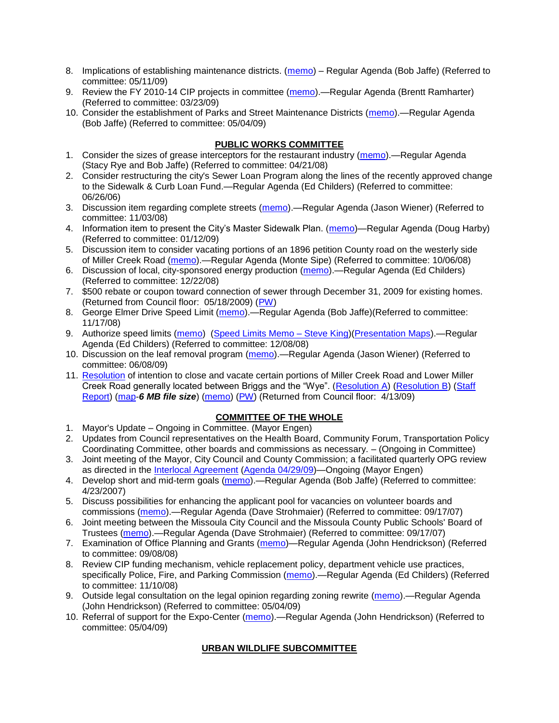- 8. Implications of establishing maintenance districts. [\(memo\)](ftp://ftp.ci.missoula.mt.us/Packets/Council/2009/2009-05-11/Referrals/MaintenanceDistricts.pdf) Regular Agenda (Bob Jaffe) (Referred to committee: 05/11/09)
- 9. Review the FY 2010-14 CIP projects in committee [\(memo\)](ftp://ftp.ci.missoula.mt.us/Packets/Council/2009/2009-03-23/Referrals/RefAFCIPBudgetReviewFY2010-2014CIP.pdf).—Regular Agenda (Brentt Ramharter) (Referred to committee: 03/23/09)
- 10. Consider the establishment of Parks and Street Maintenance Districts [\(memo\)](ftp://ftp.ci.missoula.mt.us/Packets/Council/2009/2009-05-04/Referrals/MaintenanceDistricts.pdf).—Regular Agenda (Bob Jaffe) (Referred to committee: 05/04/09)

# **PUBLIC WORKS COMMITTEE**

- 1. Consider the sizes of grease interceptors for the restaurant industry [\(memo\)](ftp://ftp.ci.missoula.mt.us/Packets/Council/2008/2008-04-21/Referrals/Industrial_waste_restaurants.pdf).—Regular Agenda (Stacy Rye and Bob Jaffe) (Referred to committee: 04/21/08)
- 2. Consider restructuring the city's Sewer Loan Program along the lines of the recently approved change to the Sidewalk & Curb Loan Fund.—Regular Agenda (Ed Childers) (Referred to committee: 06/26/06)
- 3. Discussion item regarding complete streets [\(memo\)](ftp://ftp.ci.missoula.mt.us/Packets/Council/2008/2008-11-03/Referrals/completestreetsreferral.pdf).—Regular Agenda (Jason Wiener) (Referred to committee: 11/03/08)
- 4. Information item to present the City's Master Sidewalk Plan. [\(memo\)](ftp://ftp.ci.missoula.mt.us/packets/council/2009/2009-01-12/Referrals/MstrSdwlkPlnREF.pdf)—Regular Agenda (Doug Harby) (Referred to committee: 01/12/09)
- 5. Discussion item to consider vacating portions of an 1896 petition County road on the westerly side of Miller Creek Road [\(memo\)](ftp://ftp.ci.missoula.mt.us/packets/council/2008/2008-10-06/Referrals/MllrCkROWVacREF.pdf).—Regular Agenda (Monte Sipe) (Referred to committee: 10/06/08)
- 6. Discussion of local, city-sponsored energy production [\(memo\)](ftp://ftp.ci.missoula.mt.us/Packets/Council/2008/2008-12-22/Referrals/LocaLPowerReferral.pdf).—Regular Agenda (Ed Childers) (Referred to committee: 12/22/08)
- 7. \$500 rebate or coupon toward connection of sewer through December 31, 2009 for existing homes. (Returned from Council floor: 05/18/2009) [\(PW\)](ftp://ftp.ci.missoula.mt.us/Packets/Council/2009/2009-05-18/090513pw.pdf)
- 8. George Elmer Drive Speed Limit [\(memo\)](ftp://ftp.ci.missoula.mt.us/Packets/Council/2008/2008-11-17/Referrals/GeorgeElmerSpeedLimit.pdf).—Regular Agenda (Bob Jaffe)(Referred to committee: 11/17/08)
- 9. Authorize speed limits [\(memo\)](ftp://ftp.ci.missoula.mt.us/Packets/Council/2008/2008-12-08/Referrals/ReferralAuthorizeSpeedLimits.pdf) [\(Speed Limits Memo –](ftp://ftp.ci.missoula.mt.us/packets/council/2008/2008-12-15/Referrals/SpeedLimitMemo.pdf) Steve King)[\(Presentation Maps\)](ftp://ftp.ci.missoula.mt.us/packets/council/2009/2009-01-05/Referrals/SpeedPresentation.pdf).—Regular Agenda (Ed Childers) (Referred to committee: 12/08/08)
- 10. Discussion on the leaf removal program [\(memo\)](http://www.ci.missoula.mt.us/DocumentView.aspx?DID=1490).—Regular Agenda (Jason Wiener) (Referred to committee: 06/08/09)
- 11. [Resolution](ftp://ftp.ci.missoula.mt.us/packets/council/2009/2009-03-16/Referrals/MllrCkROWVacRES.pdf) of intention to close and vacate certain portions of Miller Creek Road and Lower Miller Creek Road generally located between Briggs and the "Wye". [\(Resolution A\)](ftp://ftp.ci.missoula.mt.us/Packets/Council/2009/2009-04-13/Public Hearings/RESOLUTIONA-MillerCreekRoadPetitioners.pdf) [\(Resolution B\)](ftp://ftp.ci.missoula.mt.us/Packets/Council/2009/2009-04-13/Public Hearings/RESOLUTIONB-MillerCreekRoadStaff.pdf) (Staff [Report\)](ftp://ftp.ci.missoula.mt.us/Packets/Council/2009/2009-04-13/Public Hearings/MillerCreekVacationStaffReport.pdf) [\(map-](ftp://ftp.ci.missoula.mt.us/Packets/Council/2009/2009-04-13/Public Hearings/AerialMapExhibit.pdf)*6 MB file size*) [\(memo\)](ftp://ftp.ci.missoula.mt.us/Packets/Council/2009/2009-03-16/Referrals/WGMAmend2MllrCkREF.pdf) [\(PW\)](ftp://ftp.ci.missoula.mt.us/Packets/Council/2009/2009-03-23/090318pw.pdf) (Returned from Council floor: 4/13/09)

# **COMMITTEE OF THE WHOLE**

- 1. Mayor's Update Ongoing in Committee. (Mayor Engen)
- 2. Updates from Council representatives on the Health Board, Community Forum, Transportation Policy Coordinating Committee, other boards and commissions as necessary. – (Ongoing in Committee)
- 3. Joint meeting of the Mayor, City Council and County Commission; a facilitated quarterly OPG review as directed in the [Interlocal Agreement](ftp://ftp.ci.missoula.mt.us/Documents/Mayor/OPG/Adopted-ILA-2005.pdf) [\(Agenda 04/29/09\)](ftp://ftp.ci.missoula.mt.us/Packets/Council/2009/2009-04-27/090429cowjointagenda.pdf)—Ongoing (Mayor Engen)
- 4. Develop short and mid-term goals [\(memo\)](ftp://ftp.ci.missoula.mt.us/Packets/Council/2007/2007-04-23/Referrals/Council_Goals.pdf).—Regular Agenda (Bob Jaffe) (Referred to committee: 4/23/2007)
- 5. Discuss possibilities for enhancing the applicant pool for vacancies on volunteer boards and commissions [\(memo\)](ftp://ftp.ci.missoula.mt.us/Packets/Council/2007/2007-09-17/Referrals/board_and_commission_recruitment.pdf).—Regular Agenda (Dave Strohmaier) (Referred to committee: 09/17/07)
- 6. Joint meeting between the Missoula City Council and the Missoula County Public Schools' Board of Trustees [\(memo\)](ftp://ftp.ci.missoula.mt.us/Packets/Council/2007/2007-09-17/Referrals/Council_School_Board_referral.pdf).—Regular Agenda (Dave Strohmaier) (Referred to committee: 09/17/07)
- 7. Examination of Office Planning and Grants [\(memo\)](ftp://ftp.ci.missoula.mt.us/Packets/Council/2008/2008-09-08/Referrals/080825HendricksonOPGreferral.pdf)—Regular Agenda (John Hendrickson) (Referred to committee: 09/08/08)
- 8. Review CIP funding mechanism, vehicle replacement policy, department vehicle use practices, specifically Police, Fire, and Parking Commission [\(memo\)](ftp://ftp.ci.missoula.mt.us/Packets/Council/2008/2008-11-10/Referrals/ReviewBudgetary.pdf).—Regular Agenda (Ed Childers) (Referred to committee: 11/10/08)
- 9. Outside legal consultation on the legal opinion regarding zoning rewrite [\(memo\)](ftp://ftp.ci.missoula.mt.us/Packets/Council/2009/2009-05-04/Referrals/LegalCouncilZoningRewrite.pdf).—Regular Agenda (John Hendrickson) (Referred to committee: 05/04/09)
- 10. Referral of support for the Expo-Center [\(memo\)](ftp://ftp.ci.missoula.mt.us/Packets/Council/2009/2009-05-04/Referrals/Expocenterreferral.pdf).—Regular Agenda (John Hendrickson) (Referred to committee: 05/04/09)

# **URBAN WILDLIFE SUBCOMMITTEE**